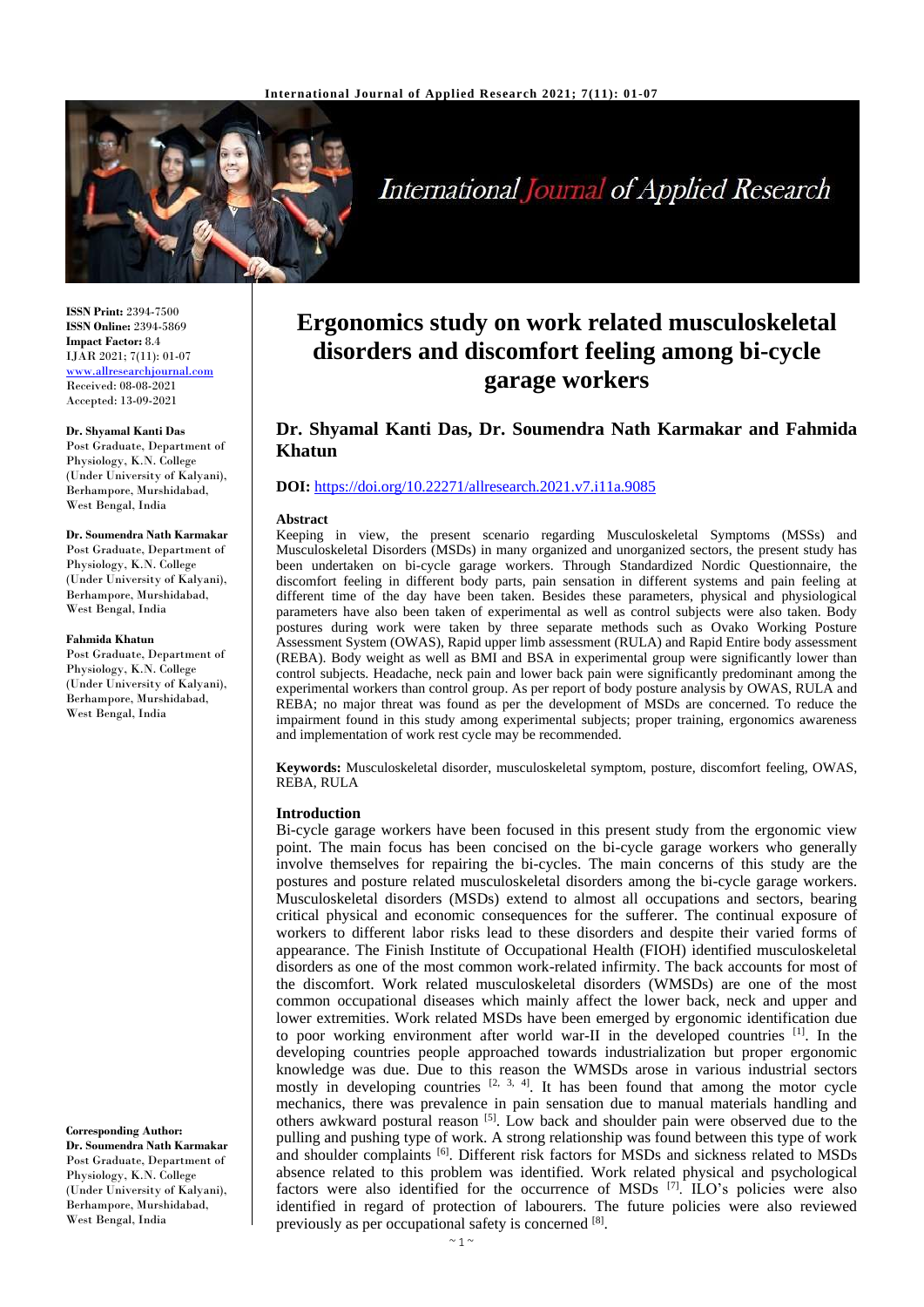

# International Journal of Applied Research

**ISSN Print:** 2394-7500 **ISSN Online:** 2394-5869 **Impact Factor:** 8.4 IJAR 2021; 7(11): 01-07 <www.allresearchjournal.com> Received: 08-08-2021 Accepted: 13-09-2021

#### **Dr. Shyamal Kanti Das**

Post Graduate, Department of Physiology, K.N. College (Under University of Kalyani), Berhampore, Murshidabad, West Bengal, India

#### **Dr. Soumendra Nath Karmakar**

Post Graduate, Department of Physiology, K.N. College (Under University of Kalyani), Berhampore, Murshidabad, West Bengal, India

#### **Fahmida Khatun**

Post Graduate, Department of Physiology, K.N. College (Under University of Kalyani), Berhampore, Murshidabad, West Bengal, India

**Dr. Soumendra Nath Karmakar** Post Graduate, Department of Physiology, K.N. College (Under University of Kalyani),

West Bengal, India

**Corresponding Author:**

# Berhampore, Murshidabad,

## **Ergonomics study on work related musculoskeletal disorders and discomfort feeling among bi-cycle garage workers**

## **Dr. Shyamal Kanti Das, Dr. Soumendra Nath Karmakar and Fahmida Khatun**

### **DOI:** <https://doi.org/10.22271/allresearch.2021.v7.i11a.9085>

#### **Abstract**

Keeping in view, the present scenario regarding Musculoskeletal Symptoms (MSSs) and Musculoskeletal Disorders (MSDs) in many organized and unorganized sectors, the present study has been undertaken on bi-cycle garage workers. Through Standardized Nordic Questionnaire, the discomfort feeling in different body parts, pain sensation in different systems and pain feeling at different time of the day have been taken. Besides these parameters, physical and physiological parameters have also been taken of experimental as well as control subjects were also taken. Body postures during work were taken by three separate methods such as Ovako Working Posture Assessment System (OWAS), Rapid upper limb assessment (RULA) and Rapid Entire body assessment (REBA). Body weight as well as BMI and BSA in experimental group were significantly lower than control subjects. Headache, neck pain and lower back pain were significantly predominant among the experimental workers than control group. As per report of body posture analysis by OWAS, RULA and REBA; no major threat was found as per the development of MSDs are concerned. To reduce the impairment found in this study among experimental subjects; proper training, ergonomics awareness and implementation of work rest cycle may be recommended.

**Keywords:** Musculoskeletal disorder, musculoskeletal symptom, posture, discomfort feeling, OWAS, REBA, RULA

#### **Introduction**

Bi-cycle garage workers have been focused in this present study from the ergonomic view point. The main focus has been concised on the bi-cycle garage workers who generally involve themselves for repairing the bi-cycles. The main concerns of this study are the postures and posture related musculoskeletal disorders among the bi-cycle garage workers. Musculoskeletal disorders (MSDs) extend to almost all occupations and sectors, bearing critical physical and economic consequences for the sufferer. The continual exposure of workers to different labor risks lead to these disorders and despite their varied forms of appearance. The Finish Institute of Occupational Health (FIOH) identified musculoskeletal disorders as one of the most common work-related infirmity. The back accounts for most of the discomfort. Work related musculoskeletal disorders (WMSDs) are one of the most common occupational diseases which mainly affect the lower back, neck and upper and lower extremities. Work related MSDs have been emerged by ergonomic identification due to poor working environment after world war-II in the developed countries [1]. In the developing countries people approached towards industrialization but proper ergonomic knowledge was due. Due to this reason the WMSDs arose in various industrial sectors mostly in developing countries  $[2, 3, 4]$ . It has been found that among the motor cycle mechanics, there was prevalence in pain sensation due to manual materials handling and others awkward postural reason [5]. Low back and shoulder pain were observed due to the pulling and pushing type of work. A strong relationship was found between this type of work and shoulder complaints [6]. Different risk factors for MSDs and sickness related to MSDs absence related to this problem was identified. Work related physical and psychological factors were also identified for the occurrence of  $MSDs$ <sup>[7]</sup>. ILO's policies were also identified in regard of protection of labourers. The future policies were also reviewed previously as per occupational safety is concerned [8].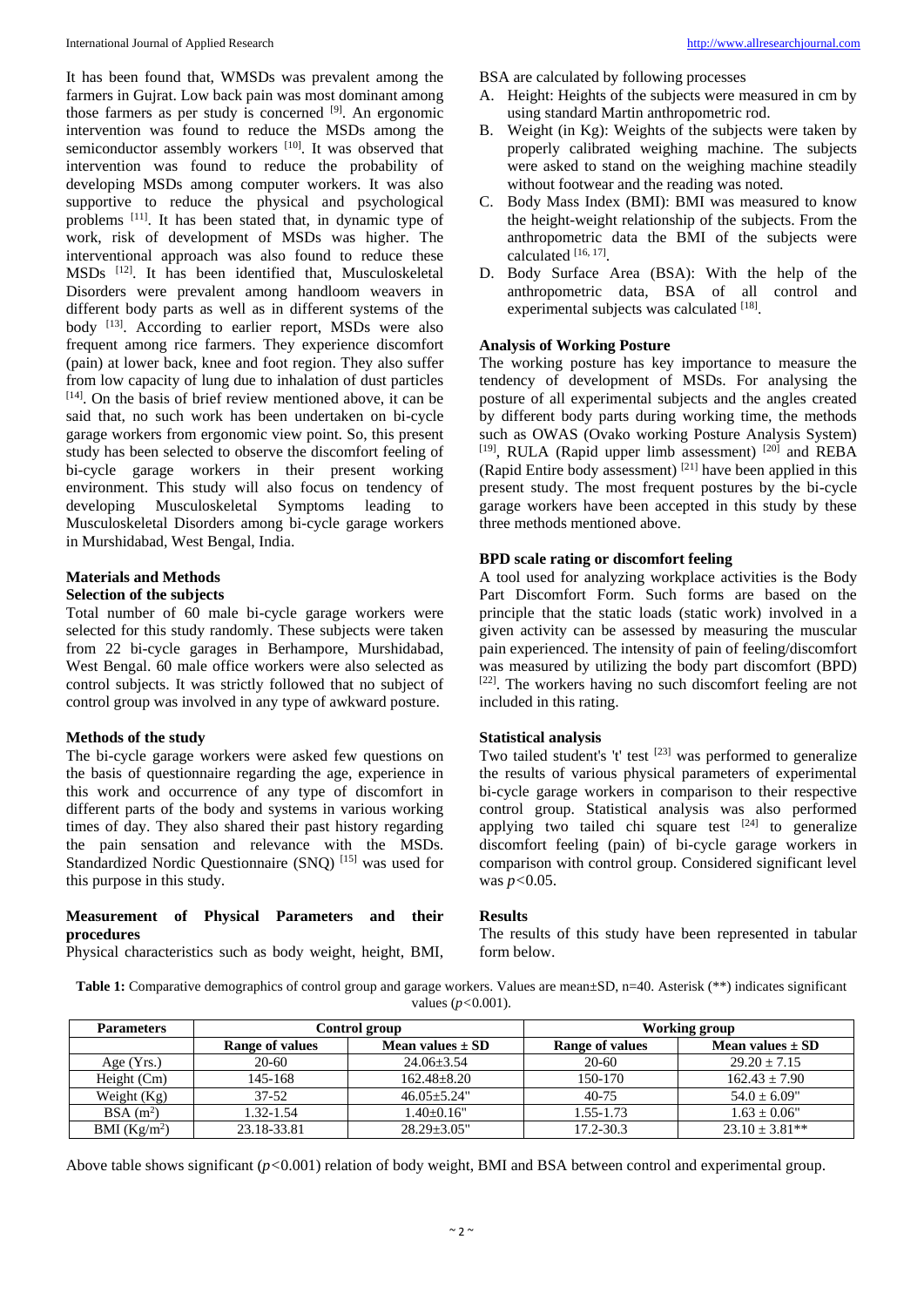It has been found that, WMSDs was prevalent among the farmers in Gujrat. Low back pain was most dominant among those farmers as per study is concerned  $[9]$ . An ergonomic intervention was found to reduce the MSDs among the semiconductor assembly workers [10]. It was observed that intervention was found to reduce the probability of developing MSDs among computer workers. It was also supportive to reduce the physical and psychological problems [11]. It has been stated that, in dynamic type of work, risk of development of MSDs was higher. The interventional approach was also found to reduce these MSDs [12]. It has been identified that, Musculoskeletal Disorders were prevalent among handloom weavers in different body parts as well as in different systems of the body [13]. According to earlier report, MSDs were also frequent among rice farmers. They experience discomfort (pain) at lower back, knee and foot region. They also suffer from low capacity of lung due to inhalation of dust particles [14] . On the basis of brief review mentioned above, it can be said that, no such work has been undertaken on bi-cycle garage workers from ergonomic view point. So, this present study has been selected to observe the discomfort feeling of bi-cycle garage workers in their present working environment. This study will also focus on tendency of developing Musculoskeletal Symptoms leading to Musculoskeletal Disorders among bi-cycle garage workers in Murshidabad, West Bengal, India.

#### **Materials and Methods**

#### **Selection of the subjects**

Total number of 60 male bi-cycle garage workers were selected for this study randomly. These subjects were taken from 22 bi-cycle garages in Berhampore, Murshidabad, West Bengal. 60 male office workers were also selected as control subjects. It was strictly followed that no subject of control group was involved in any type of awkward posture.

#### **Methods of the study**

The bi-cycle garage workers were asked few questions on the basis of questionnaire regarding the age, experience in this work and occurrence of any type of discomfort in different parts of the body and systems in various working times of day. They also shared their past history regarding the pain sensation and relevance with the MSDs. Standardized Nordic Ouestionnaire (SNO)<sup>[15]</sup> was used for this purpose in this study.

#### **Measurement of Physical Parameters and their procedures**

Physical characteristics such as body weight, height, BMI,

BSA are calculated by following processes

- A. Height: Heights of the subjects were measured in cm by using standard Martin anthropometric rod.
- B. Weight (in Kg): Weights of the subjects were taken by properly calibrated weighing machine. The subjects were asked to stand on the weighing machine steadily without footwear and the reading was noted.
- C. Body Mass Index (BMI): BMI was measured to know the height-weight relationship of the subjects. From the anthropometric data the BMI of the subjects were calculated [16, 17] .
- D. Body Surface Area (BSA): With the help of the anthropometric data, BSA of all control and experimental subjects was calculated [18].

#### **Analysis of Working Posture**

The working posture has key importance to measure the tendency of development of MSDs. For analysing the posture of all experimental subjects and the angles created by different body parts during working time, the methods such as OWAS (Ovako working Posture Analysis System) [19], RULA (Rapid upper limb assessment) [20] and REBA (Rapid Entire body assessment)  $[21]$  have been applied in this present study. The most frequent postures by the bi-cycle garage workers have been accepted in this study by these three methods mentioned above.

#### **BPD scale rating or discomfort feeling**

A tool used for analyzing workplace activities is the Body Part Discomfort Form. Such forms are based on the principle that the static loads (static work) involved in a given activity can be assessed by measuring the muscular pain experienced. The intensity of pain of feeling/discomfort was measured by utilizing the body part discomfort (BPD) [22]. The workers having no such discomfort feeling are not included in this rating.

#### **Statistical analysis**

Two tailed student's 't' test  $[23]$  was performed to generalize the results of various physical parameters of experimental bi-cycle garage workers in comparison to their respective control group. Statistical analysis was also performed applying two tailed chi square test  $[24]$  to generalize discomfort feeling (pain) of bi-cycle garage workers in comparison with control group. Considered significant level was *p<*0.05.

#### **Results**

The results of this study have been represented in tabular form below.

Table 1: Comparative demographics of control group and garage workers. Values are mean $\pm$ SD, n=40. Asterisk (\*\*) indicates significant values (*p<*0.001).

| <b>Parameters</b>    | Control group   |                      | Working group   |                      |
|----------------------|-----------------|----------------------|-----------------|----------------------|
|                      | Range of values | Mean values $\pm$ SD | Range of values | Mean values $\pm$ SD |
| Age $(Yrs.)$         | $20-60$         | $24.06 \pm 3.54$     | $20-60$         | $29.20 \pm 7.15$     |
| Height $(Cm)$        | 145-168         | $162.48 + 8.20$      | 150-170         | $162.43 \pm 7.90$    |
| Weight $(Kg)$        | $37 - 52$       | $46.05 + 5.24$ "     | $40 - 75$       | $54.0 \pm 6.09$ "    |
| BSA(m <sup>2</sup> ) | 1.32-1.54       | $1.40+0.16"$         | 1.55-1.73       | $1.63 \pm 0.06"$     |
| BMI $(Kg/m2)$        | 23.18-33.81     | $28.29 + 3.05$ "     | $17.2 - 30.3$   | $23.10 \pm 3.81**$   |

Above table shows significant (*p<*0.001) relation of body weight, BMI and BSA between control and experimental group.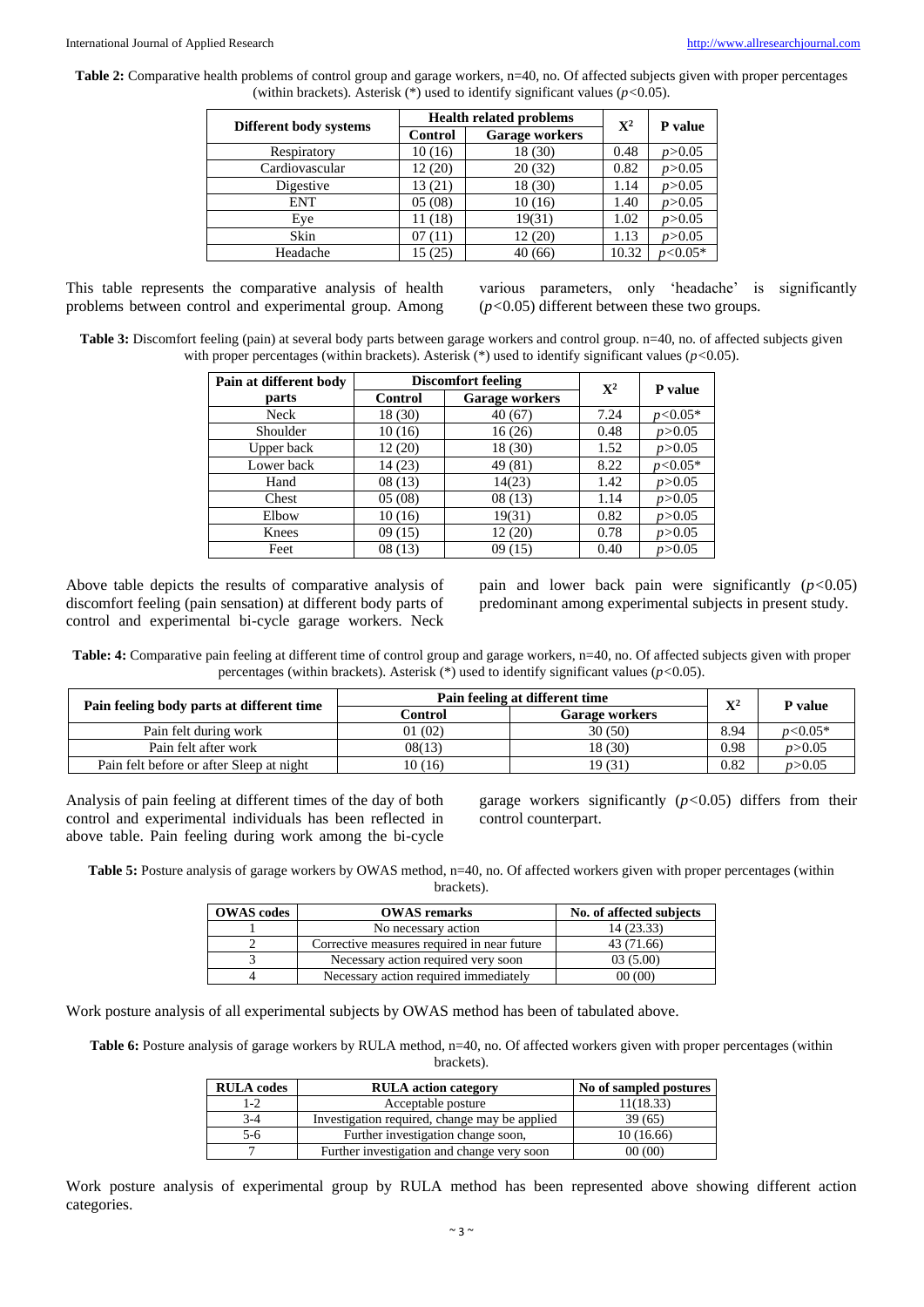**Table 2:** Comparative health problems of control group and garage workers, n=40, no. Of affected subjects given with proper percentages (within brackets). Asterisk (\*) used to identify significant values (*p<*0.05).

|                        |         | <b>Health related problems</b> | $\mathbf{X}^2$ | P value   |
|------------------------|---------|--------------------------------|----------------|-----------|
| Different body systems | Control | <b>Garage workers</b>          |                |           |
| Respiratory            | 10(16)  | 18 (30)                        | 0.48           | p > 0.05  |
| Cardiovascular         | 12(20)  | 20(32)                         | 0.82           | p > 0.05  |
| Digestive              | 13(21)  | 18 (30)                        | 1.14           | p > 0.05  |
| <b>ENT</b>             | 05(08)  | 10(16)                         | 1.40           | p > 0.05  |
| Eye                    | 11(18)  | 19(31)                         | 1.02           | p > 0.05  |
| Skin                   | 07(11)  | 12(20)                         | 1.13           | p > 0.05  |
| Headache               | 15 (25) | 40(66)                         | 10.32          | $p<0.05*$ |

This table represents the comparative analysis of health problems between control and experimental group. Among various parameters, only 'headache' is significantly (*p<*0.05) different between these two groups.

**Table 3:** Discomfort feeling (pain) at several body parts between garage workers and control group. n=40, no. of affected subjects given with proper percentages (within brackets). Asterisk (\*) used to identify significant values (*p<*0.05).

| Pain at different body |                | <b>Discomfort feeling</b> | $\mathbf{X}^2$ |           |
|------------------------|----------------|---------------------------|----------------|-----------|
| parts                  | <b>Control</b> | <b>Garage workers</b>     |                | P value   |
| Neck                   | 18 (30)        | 40(67)                    | 7.24           | $p<0.05*$ |
| Shoulder               | 10(16)         | 16(26)                    | 0.48           | p > 0.05  |
| Upper back             | 12(20)         | 18 (30)                   | 1.52           | p > 0.05  |
| Lower back             | 14(23)         | 49 (81)                   | 8.22           | $p<0.05*$ |
| Hand                   | 08(13)         | 14(23)                    | 1.42           | p > 0.05  |
| Chest                  | 05(08)         | 08(13)                    | 1.14           | p > 0.05  |
| Elbow                  | 10(16)         | 19(31)                    | 0.82           | p > 0.05  |
| Knees                  | 09(15)         | 12(20)                    | 0.78           | p > 0.05  |
| Feet                   | 08(13)         | 09(15)                    | 0.40           | p > 0.05  |

Above table depicts the results of comparative analysis of discomfort feeling (pain sensation) at different body parts of control and experimental bi-cycle garage workers. Neck

pain and lower back pain were significantly (*p<*0.05) predominant among experimental subjects in present study.

**Table: 4:** Comparative pain feeling at different time of control group and garage workers, n=40, no. Of affected subjects given with proper percentages (within brackets). Asterisk (\*) used to identify significant values (*p<*0.05).

|                                           | Pain feeling at different time |                       | $\mathbf{V}^2$ | P value   |
|-------------------------------------------|--------------------------------|-----------------------|----------------|-----------|
| Pain feeling body parts at different time | Control                        | <b>Garage workers</b> |                |           |
| Pain felt during work                     | 01(02)                         | 30 (50)               | 8.94           | $p<0.05*$ |
| Pain felt after work                      | 08(13)                         | 18 (30)               | 0.98           | p > 0.05  |
| Pain felt before or after Sleep at night  | 10(16)                         | 19 (31)               | 0.82           | p > 0.05  |

Analysis of pain feeling at different times of the day of both control and experimental individuals has been reflected in above table. Pain feeling during work among the bi-cycle

garage workers significantly (*p<*0.05) differs from their control counterpart.

**Table 5:** Posture analysis of garage workers by OWAS method, n=40, no. Of affected workers given with proper percentages (within brackets).

| <b>OWAS</b> codes | <b>OWAS</b> remarks                         | No. of affected subjects |
|-------------------|---------------------------------------------|--------------------------|
|                   | No necessary action                         | 14(23.33)                |
|                   | Corrective measures required in near future | 43 (71.66)               |
|                   | Necessary action required very soon         | 03(5.00)                 |
|                   | Necessary action required immediately       | 00(00)                   |

Work posture analysis of all experimental subjects by OWAS method has been of tabulated above.

Table 6: Posture analysis of garage workers by RULA method, n=40, no. Of affected workers given with proper percentages (within brackets).

| <b>RULA</b> codes | <b>RULA</b> action category                   | No of sampled postures |
|-------------------|-----------------------------------------------|------------------------|
| $1-2$             | Acceptable posture                            | 11(18.33)              |
| $3-4$             | Investigation required, change may be applied | 39 (65)                |
| 5-6               | Further investigation change soon,            | 10(16.66)              |
|                   | Further investigation and change very soon    | 00(00)                 |

Work posture analysis of experimental group by RULA method has been represented above showing different action categories.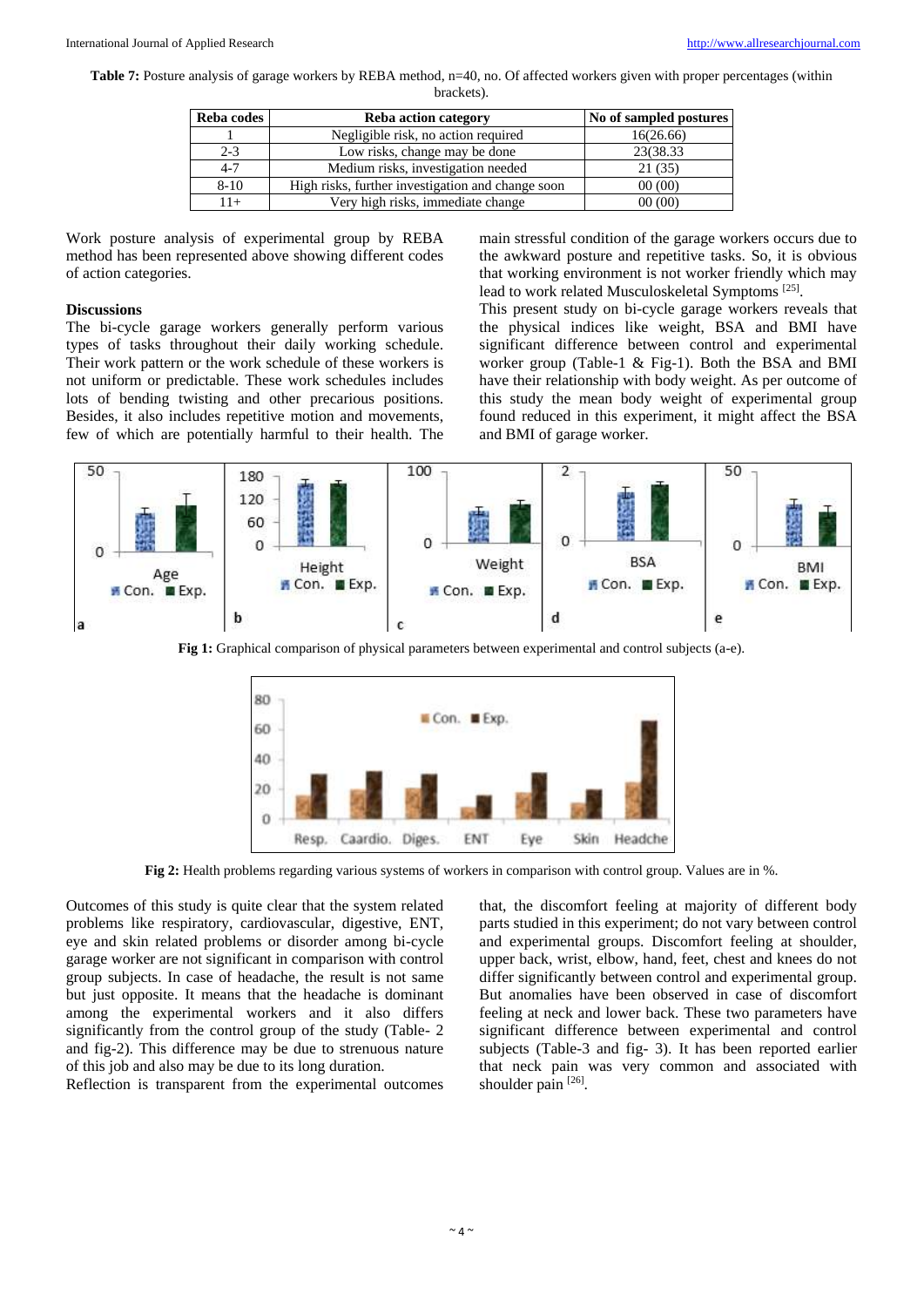Table 7: Posture analysis of garage workers by REBA method, n=40, no. Of affected workers given with proper percentages (within

brackets).

| Reba codes | <b>Reba action category</b>                       | No of sampled postures |
|------------|---------------------------------------------------|------------------------|
|            | Negligible risk, no action required               | 16(26.66)              |
| $2 - 3$    | Low risks, change may be done                     | 23(38.33)              |
| $4 - 7$    | Medium risks, investigation needed                | 21(35)                 |
| $8 - 10$   | High risks, further investigation and change soon | 00(00)                 |
| $1+$       | Very high risks, immediate change                 | 00(00)                 |

Work posture analysis of experimental group by REBA method has been represented above showing different codes of action categories.

#### **Discussions**

The bi-cycle garage workers generally perform various types of tasks throughout their daily working schedule. Their work pattern or the work schedule of these workers is not uniform or predictable. These work schedules includes lots of bending twisting and other precarious positions. Besides, it also includes repetitive motion and movements, few of which are potentially harmful to their health. The main stressful condition of the garage workers occurs due to the awkward posture and repetitive tasks. So, it is obvious that working environment is not worker friendly which may lead to work related Musculoskeletal Symptoms<sup>[25]</sup>.

This present study on bi-cycle garage workers reveals that the physical indices like weight, BSA and BMI have significant difference between control and experimental worker group (Table-1 & Fig-1). Both the BSA and BMI have their relationship with body weight. As per outcome of this study the mean body weight of experimental group found reduced in this experiment, it might affect the BSA and BMI of garage worker.



**Fig 1:** Graphical comparison of physical parameters between experimental and control subjects (a-e).



**Fig 2:** Health problems regarding various systems of workers in comparison with control group. Values are in %.

Outcomes of this study is quite clear that the system related problems like respiratory, cardiovascular, digestive, ENT, eye and skin related problems or disorder among bi-cycle garage worker are not significant in comparison with control group subjects. In case of headache, the result is not same but just opposite. It means that the headache is dominant among the experimental workers and it also differs significantly from the control group of the study (Table- 2 and fig-2). This difference may be due to strenuous nature of this job and also may be due to its long duration.

Reflection is transparent from the experimental outcomes

that, the discomfort feeling at majority of different body parts studied in this experiment; do not vary between control and experimental groups. Discomfort feeling at shoulder, upper back, wrist, elbow, hand, feet, chest and knees do not differ significantly between control and experimental group. But anomalies have been observed in case of discomfort feeling at neck and lower back. These two parameters have significant difference between experimental and control subjects (Table-3 and fig- 3). It has been reported earlier that neck pain was very common and associated with shoulder pain [26].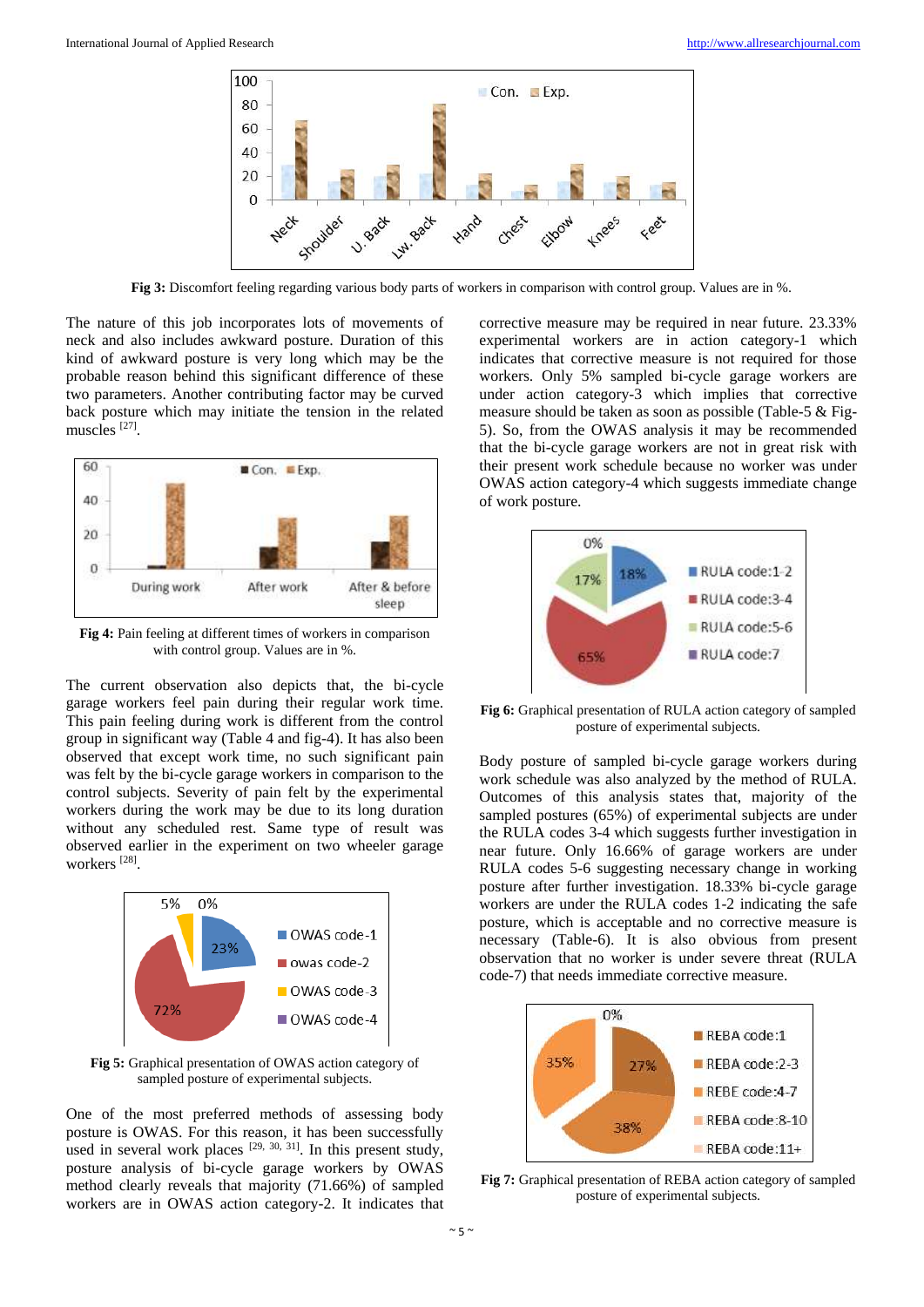

**Fig 3:** Discomfort feeling regarding various body parts of workers in comparison with control group. Values are in %.

The nature of this job incorporates lots of movements of neck and also includes awkward posture. Duration of this kind of awkward posture is very long which may be the probable reason behind this significant difference of these two parameters. Another contributing factor may be curved back posture which may initiate the tension in the related muscles [27] .



**Fig 4:** Pain feeling at different times of workers in comparison with control group. Values are in %.

The current observation also depicts that, the bi-cycle garage workers feel pain during their regular work time. This pain feeling during work is different from the control group in significant way (Table 4 and fig-4). It has also been observed that except work time, no such significant pain was felt by the bi-cycle garage workers in comparison to the control subjects. Severity of pain felt by the experimental workers during the work may be due to its long duration without any scheduled rest. Same type of result was observed earlier in the experiment on two wheeler garage workers<sup>[28]</sup>.



**Fig 5:** Graphical presentation of OWAS action category of sampled posture of experimental subjects.

One of the most preferred methods of assessing body posture is OWAS. For this reason, it has been successfully used in several work places  $[29, 30, 31]$ . In this present study, posture analysis of bi-cycle garage workers by OWAS method clearly reveals that majority (71.66%) of sampled workers are in OWAS action category-2. It indicates that corrective measure may be required in near future. 23.33% experimental workers are in action category-1 which indicates that corrective measure is not required for those workers. Only 5% sampled bi-cycle garage workers are under action category-3 which implies that corrective measure should be taken as soon as possible (Table-5 & Fig-5). So, from the OWAS analysis it may be recommended that the bi-cycle garage workers are not in great risk with their present work schedule because no worker was under OWAS action category-4 which suggests immediate change of work posture.



**Fig 6:** Graphical presentation of RULA action category of sampled posture of experimental subjects.

Body posture of sampled bi-cycle garage workers during work schedule was also analyzed by the method of RULA. Outcomes of this analysis states that, majority of the sampled postures (65%) of experimental subjects are under the RULA codes 3-4 which suggests further investigation in near future. Only 16.66% of garage workers are under RULA codes 5-6 suggesting necessary change in working posture after further investigation. 18.33% bi-cycle garage workers are under the RULA codes 1-2 indicating the safe posture, which is acceptable and no corrective measure is necessary (Table-6). It is also obvious from present observation that no worker is under severe threat (RULA code-7) that needs immediate corrective measure.



**Fig 7:** Graphical presentation of REBA action category of sampled posture of experimental subjects.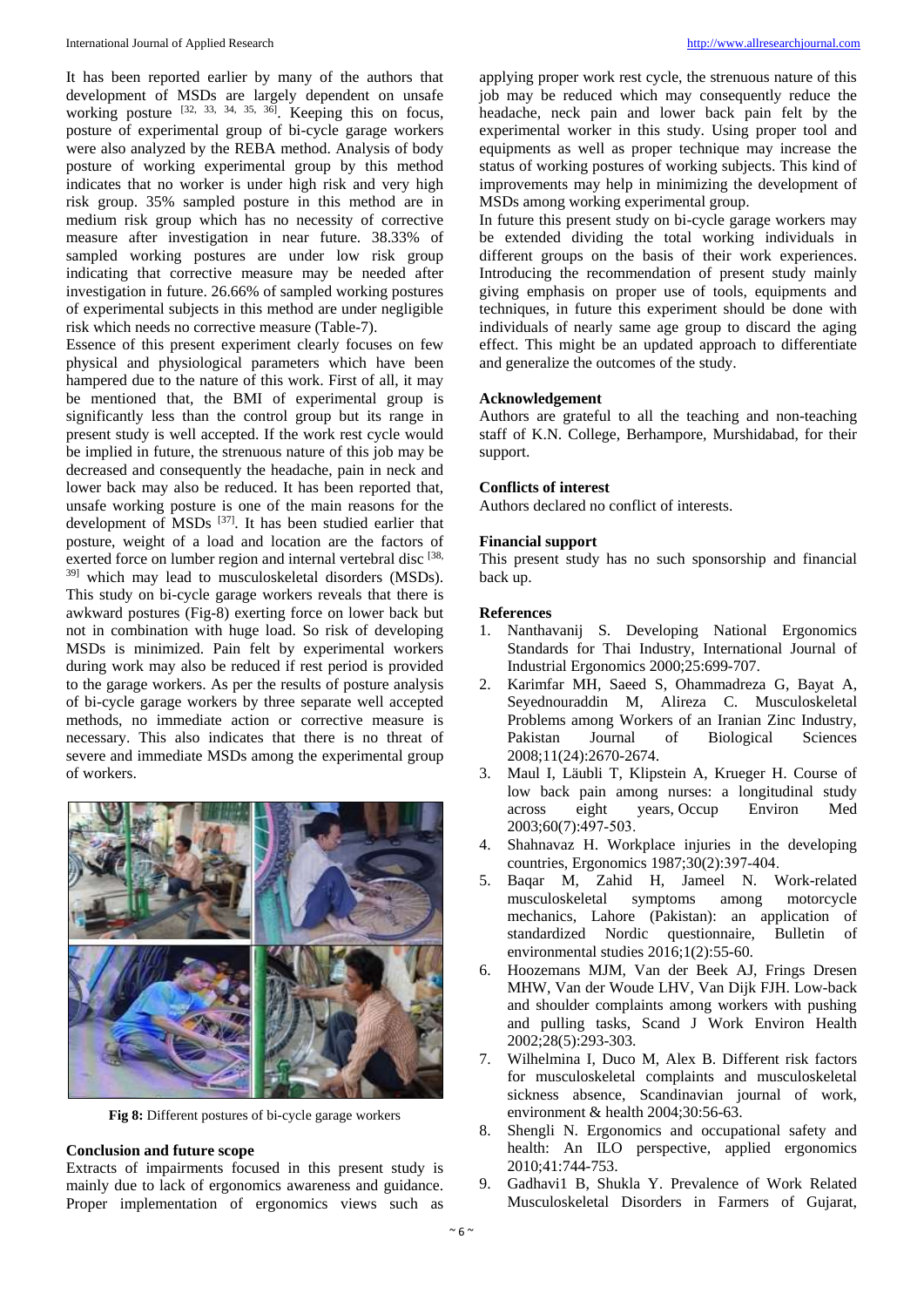It has been reported earlier by many of the authors that development of MSDs are largely dependent on unsafe working posture  $[32, 33, 34, 35, 36]$ . Keeping this on focus, posture of experimental group of bi-cycle garage workers were also analyzed by the REBA method. Analysis of body posture of working experimental group by this method indicates that no worker is under high risk and very high risk group. 35% sampled posture in this method are in medium risk group which has no necessity of corrective measure after investigation in near future. 38.33% of sampled working postures are under low risk group indicating that corrective measure may be needed after investigation in future. 26.66% of sampled working postures of experimental subjects in this method are under negligible risk which needs no corrective measure (Table-7).

Essence of this present experiment clearly focuses on few physical and physiological parameters which have been hampered due to the nature of this work. First of all, it may be mentioned that, the BMI of experimental group is significantly less than the control group but its range in present study is well accepted. If the work rest cycle would be implied in future, the strenuous nature of this job may be decreased and consequently the headache, pain in neck and lower back may also be reduced. It has been reported that, unsafe working posture is one of the main reasons for the development of MSDs<sup>[37]</sup>. It has been studied earlier that posture, weight of a load and location are the factors of exerted force on lumber region and internal vertebral disc [38, 39] which may lead to musculoskeletal disorders (MSDs). This study on bi-cycle garage workers reveals that there is awkward postures (Fig-8) exerting force on lower back but not in combination with huge load. So risk of developing MSDs is minimized. Pain felt by experimental workers during work may also be reduced if rest period is provided to the garage workers. As per the results of posture analysis of bi-cycle garage workers by three separate well accepted methods, no immediate action or corrective measure is necessary. This also indicates that there is no threat of severe and immediate MSDs among the experimental group of workers.



**Fig 8:** Different postures of bi-cycle garage workers

#### **Conclusion and future scope**

Extracts of impairments focused in this present study is mainly due to lack of ergonomics awareness and guidance. Proper implementation of ergonomics views such as

applying proper work rest cycle, the strenuous nature of this job may be reduced which may consequently reduce the headache, neck pain and lower back pain felt by the experimental worker in this study. Using proper tool and equipments as well as proper technique may increase the status of working postures of working subjects. This kind of improvements may help in minimizing the development of MSDs among working experimental group.

In future this present study on bi-cycle garage workers may be extended dividing the total working individuals in different groups on the basis of their work experiences. Introducing the recommendation of present study mainly giving emphasis on proper use of tools, equipments and techniques, in future this experiment should be done with individuals of nearly same age group to discard the aging effect. This might be an updated approach to differentiate and generalize the outcomes of the study.

#### **Acknowledgement**

Authors are grateful to all the teaching and non-teaching staff of K.N. College, Berhampore, Murshidabad, for their support.

#### **Conflicts of interest**

Authors declared no conflict of interests.

#### **Financial support**

This present study has no such sponsorship and financial back up.

#### **References**

- 1. Nanthavanij S. Developing National Ergonomics Standards for Thai Industry, International Journal of Industrial Ergonomics 2000;25:699-707.
- 2. Karimfar MH, Saeed S, Ohammadreza G, Bayat A, Seyednouraddin M, Alireza C. Musculoskeletal Problems among Workers of an Iranian Zinc Industry, Pakistan Journal of Biological Sciences 2008;11(24):2670-2674.
- 3. Maul I, Läubli T, Klipstein A, Krueger H. Course of low back pain among nurses: a longitudinal study across eight years, Occup Environ Med 2003;60(7):497‐503.
- 4. Shahnavaz H. Workplace injuries in the developing countries, Ergonomics 1987;30(2):397‐404.
- 5. Baqar M, Zahid H, Jameel N. Work-related musculoskeletal symptoms among motorcycle mechanics, Lahore (Pakistan): an application of standardized Nordic questionnaire, Bulletin of environmental studies 2016;1(2):55-60.
- 6. Hoozemans MJM, Van der Beek AJ, Frings Dresen MHW, Van der Woude LHV, Van Dijk FJH. Low-back and shoulder complaints among workers with pushing and pulling tasks, Scand J Work Environ Health 2002;28(5):293-303.
- 7. Wilhelmina I, Duco M, Alex B. Different risk factors for musculoskeletal complaints and musculoskeletal sickness absence, Scandinavian journal of work, environment & health 2004;30:56-63.
- 8. Shengli N. Ergonomics and occupational safety and health: An ILO perspective, applied ergonomics 2010;41:744-753.
- 9. Gadhavi1 B, Shukla Y. Prevalence of Work Related Musculoskeletal Disorders in Farmers of Gujarat,